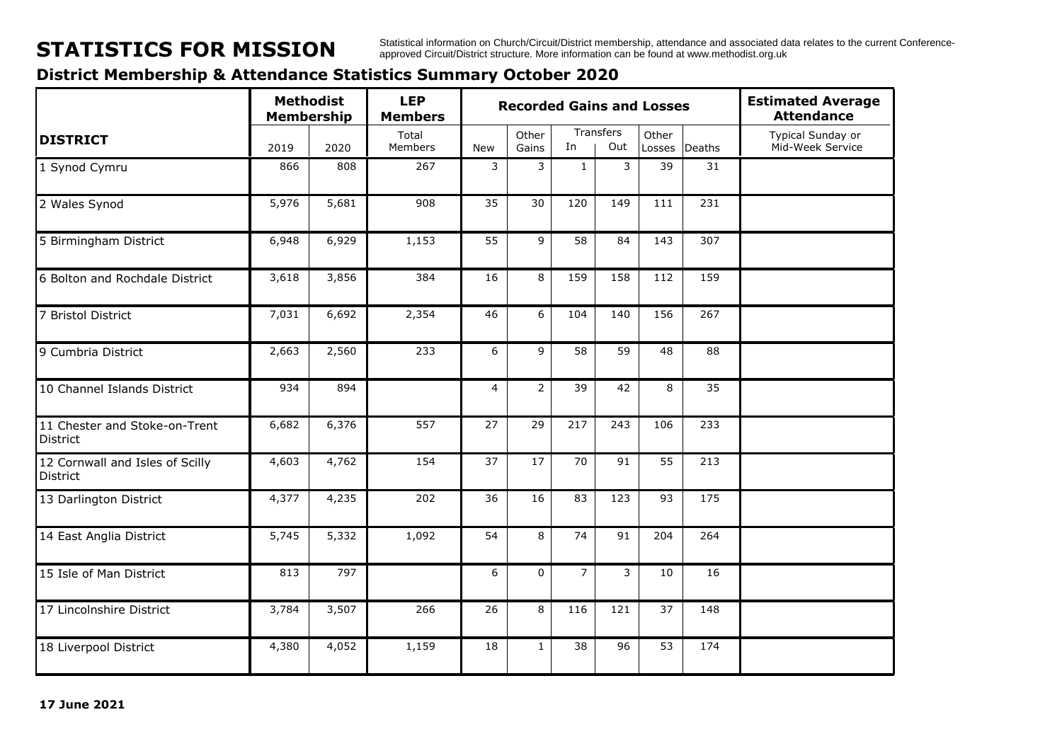STATISTICS FOR MISSION Statistical information on Church/Circuit/District membership, attendance and associated data relates to the current Conference-<br>approved Circuit/District structure. More information can be found at

## **District Membership & Attendance Statistics Summary October 2020**

|                                                    |       | <b>Methodist</b><br><b>Membership</b> | <b>LEP</b><br><b>Members</b> |                | <b>Recorded Gains and Losses</b> |                | <b>Estimated Average</b><br><b>Attendance</b> |       |               |                                       |
|----------------------------------------------------|-------|---------------------------------------|------------------------------|----------------|----------------------------------|----------------|-----------------------------------------------|-------|---------------|---------------------------------------|
| <b>DISTRICT</b>                                    | 2019  | 2020                                  | Total<br>Members             | <b>New</b>     | Other<br>Gains                   | In             | Transfers<br>Out                              | Other | Losses Deaths | Typical Sunday or<br>Mid-Week Service |
| 1 Synod Cymru                                      | 866   | 808                                   | 267                          | 3              | 3                                | $\mathbf{1}$   | $\mathbf{3}$                                  | 39    | 31            |                                       |
| 2 Wales Synod                                      | 5,976 | 5,681                                 | 908                          | 35             | 30                               | 120            | 149                                           | 111   | 231           |                                       |
| 5 Birmingham District                              | 6,948 | 6,929                                 | 1,153                        | 55             | 9                                | 58             | 84                                            | 143   | 307           |                                       |
| 6 Bolton and Rochdale District                     | 3,618 | 3,856                                 | 384                          | 16             | 8                                | 159            | 158                                           | 112   | 159           |                                       |
| 7 Bristol District                                 | 7,031 | 6,692                                 | 2,354                        | 46             | 6                                | 104            | 140                                           | 156   | 267           |                                       |
| 9 Cumbria District                                 | 2,663 | 2,560                                 | 233                          | 6              | 9                                | 58             | 59                                            | 48    | 88            |                                       |
| 10 Channel Islands District                        | 934   | 894                                   |                              | $\overline{4}$ | $\overline{2}$                   | 39             | 42                                            | 8     | 35            |                                       |
| 11 Chester and Stoke-on-Trent<br><b>District</b>   | 6,682 | 6,376                                 | 557                          | 27             | 29                               | 217            | 243                                           | 106   | 233           |                                       |
| 12 Cornwall and Isles of Scilly<br><b>District</b> | 4,603 | 4,762                                 | 154                          | 37             | 17                               | 70             | 91                                            | 55    | 213           |                                       |
| 13 Darlington District                             | 4,377 | 4,235                                 | 202                          | 36             | 16                               | 83             | 123                                           | 93    | 175           |                                       |
| 14 East Anglia District                            | 5,745 | 5,332                                 | 1,092                        | 54             | 8                                | 74             | 91                                            | 204   | 264           |                                       |
| 15 Isle of Man District                            | 813   | 797                                   |                              | 6              | $\Omega$                         | $\overline{7}$ | 3                                             | 10    | 16            |                                       |
| 17 Lincolnshire District                           | 3,784 | 3,507                                 | 266                          | 26             | 8                                | 116            | 121                                           | 37    | 148           |                                       |
| 18 Liverpool District                              | 4,380 | 4,052                                 | 1,159                        | 18             | $\mathbf{1}$                     | 38             | 96                                            | 53    | 174           |                                       |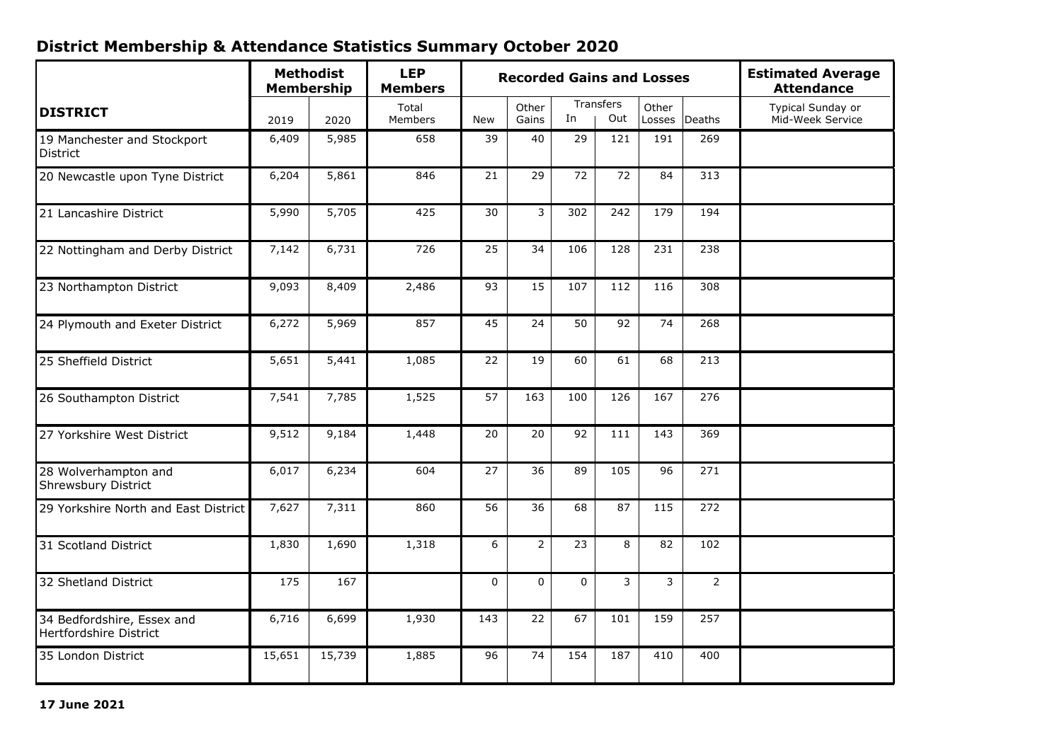## **District Membership & Attendance Statistics Summary October 2020**

| <b>DISTRICT</b>                                      | <b>Methodist</b><br><b>Membership</b> |        | <b>LEP</b><br><b>Members</b> |             | <b>Recorded Gains and Losses</b> |             | <b>Estimated Average</b><br><b>Attendance</b> |       |                |                                       |
|------------------------------------------------------|---------------------------------------|--------|------------------------------|-------------|----------------------------------|-------------|-----------------------------------------------|-------|----------------|---------------------------------------|
|                                                      | 2019                                  | 2020   | Total<br>Members             | <b>New</b>  | Other<br>Gains                   | In          | Transfers<br>Out                              | Other | Losses Deaths  | Typical Sunday or<br>Mid-Week Service |
| 19 Manchester and Stockport<br>District              | 6,409                                 | 5,985  | 658                          | 39          | 40                               | 29          | 121                                           | 191   | 269            |                                       |
| 20 Newcastle upon Tyne District                      | 6,204                                 | 5,861  | 846                          | 21          | 29                               | 72          | 72                                            | 84    | 313            |                                       |
| 21 Lancashire District                               | 5,990                                 | 5,705  | 425                          | 30          | 3                                | 302         | 242                                           | 179   | 194            |                                       |
| 22 Nottingham and Derby District                     | 7,142                                 | 6,731  | 726                          | 25          | 34                               | 106         | 128                                           | 231   | 238            |                                       |
| 23 Northampton District                              | 9,093                                 | 8,409  | 2,486                        | 93          | 15                               | 107         | 112                                           | 116   | 308            |                                       |
| 24 Plymouth and Exeter District                      | 6,272                                 | 5,969  | 857                          | 45          | 24                               | 50          | 92                                            | 74    | 268            |                                       |
| 25 Sheffield District                                | 5,651                                 | 5,441  | 1,085                        | 22          | 19                               | 60          | 61                                            | 68    | 213            |                                       |
| 26 Southampton District                              | 7,541                                 | 7,785  | 1,525                        | 57          | 163                              | 100         | 126                                           | 167   | 276            |                                       |
| 27 Yorkshire West District                           | 9,512                                 | 9,184  | 1,448                        | 20          | 20                               | 92          | 111                                           | 143   | 369            |                                       |
| 28 Wolverhampton and<br>Shrewsbury District          | 6,017                                 | 6,234  | 604                          | 27          | 36                               | 89          | 105                                           | 96    | 271            |                                       |
| 29 Yorkshire North and East District                 | 7,627                                 | 7,311  | 860                          | 56          | 36                               | 68          | 87                                            | 115   | 272            |                                       |
| 31 Scotland District                                 | 1,830                                 | 1,690  | 1,318                        | 6           | $\overline{2}$                   | 23          | 8                                             | 82    | 102            |                                       |
| 32 Shetland District                                 | 175                                   | 167    |                              | $\mathbf 0$ | $\mathbf 0$                      | $\mathbf 0$ | 3                                             | 3     | $\overline{2}$ |                                       |
| 34 Bedfordshire, Essex and<br>Hertfordshire District | 6,716                                 | 6,699  | 1,930                        | 143         | 22                               | 67          | 101                                           | 159   | 257            |                                       |
| 35 London District                                   | 15,651                                | 15,739 | 1,885                        | 96          | 74                               | 154         | 187                                           | 410   | 400            |                                       |